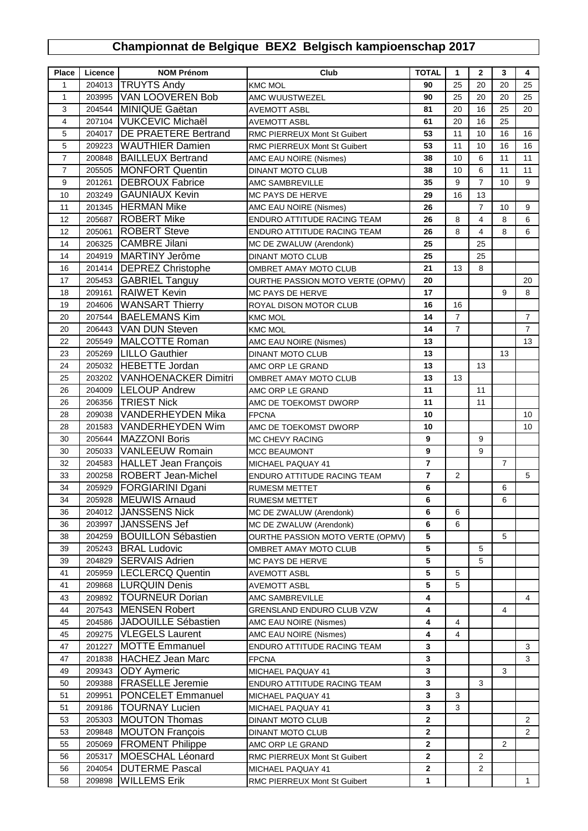## **Championnat de Belgique BEX2 Belgisch kampioenschap 2017**

| Place          | Licence          | <b>NOM Prénom</b>                              | Club                                | <b>TOTAL</b>                 | $\mathbf{1}$         | $\mathbf{2}$   | 3              | 4                                |
|----------------|------------------|------------------------------------------------|-------------------------------------|------------------------------|----------------------|----------------|----------------|----------------------------------|
| 1              | 204013           | <b>TRUYTS Andy</b>                             | <b>KMC MOL</b>                      | 90                           | 25                   | 20             | 20             | 25                               |
| $\mathbf{1}$   | 203995           | VAN LOOVEREN Bob                               | AMC WUUSTWEZEL                      | 90                           | 25                   | 20             | 20             | 25                               |
| 3              | 204544           | MINIQUE Gaëtan                                 | <b>AVEMOTT ASBL</b>                 | 81                           | 20                   | 16             | 25             | 20                               |
| $\overline{4}$ | 207104           | VUKCEVIC Michaël                               | <b>AVEMOTT ASBL</b>                 | 61                           | 20                   | 16             | 25             |                                  |
| 5              | 204017           | <b>DE PRAETERE Bertrand</b>                    | <b>RMC PIERREUX Mont St Guibert</b> | 53                           | 11                   | 10             | 16             | 16                               |
| 5              | 209223           | <b>WAUTHIER Damien</b>                         | RMC PIERREUX Mont St Guibert        | 53                           | 11                   | 10             | 16             | 16                               |
| $\overline{7}$ | 200848           | <b>BAILLEUX Bertrand</b>                       | AMC EAU NOIRE (Nismes)              | 38                           | 10                   | 6              | 11             | 11                               |
| $\overline{7}$ | 205505           | <b>MONFORT Quentin</b>                         | <b>DINANT MOTO CLUB</b>             | 38                           | 10                   | 6              | 11             | 11                               |
| 9              | 201261           | <b>DEBROUX Fabrice</b>                         | AMC SAMBREVILLE                     | 35                           | 9                    | $\overline{7}$ | 10             | 9                                |
| 10             | 203249           | <b>GAUNIAUX Kevin</b>                          | MC PAYS DE HERVE                    | 29                           | 16                   | 13             |                |                                  |
| 11             | 201345           | <b>HERMAN Mike</b>                             |                                     | 26                           |                      | $\overline{7}$ | 10             | 9                                |
| 12             |                  | <b>ROBERT Mike</b>                             | AMC EAU NOIRE (Nismes)              | 26                           | 8                    | 4              | 8              | 6                                |
| 12             | 205687<br>205061 | <b>ROBERT</b> Steve                            | ENDURO ATTITUDE RACING TEAM         | 26                           | 8                    | 4              | 8              | 6                                |
| 14             | 206325           | CAMBRE Jilani                                  | ENDURO ATTITUDE RACING TEAM         | 25                           |                      | 25             |                |                                  |
| 14             | 204919           | MARTINY Jerôme                                 | MC DE ZWALUW (Arendonk)             | 25                           |                      | 25             |                |                                  |
|                |                  | <b>DEPREZ Christophe</b>                       | <b>DINANT MOTO CLUB</b>             |                              |                      |                |                |                                  |
| 16             | 201414           |                                                | OMBRET AMAY MOTO CLUB               | 21                           | 13                   | 8              |                |                                  |
| 17             | 205453           | <b>GABRIEL Tanguy</b>                          | OURTHE PASSION MOTO VERTE (OPMV)    | 20                           |                      |                |                | 20                               |
| 18             | 209161           | <b>RAIWET</b> Kevin                            | MC PAYS DE HERVE                    | 17                           |                      |                | 9              | 8                                |
| 19             | 204606           | <b>WANSART Thierry</b><br><b>BAELEMANS Kim</b> | ROYAL DISON MOTOR CLUB              | 16                           | 16<br>$\overline{7}$ |                |                |                                  |
| 20             | 207544           | <b>VAN DUN Steven</b>                          | <b>KMC MOL</b>                      | 14<br>14                     |                      |                |                | $\overline{7}$<br>$\overline{7}$ |
| 20             | 206443           |                                                | <b>KMC MOL</b>                      |                              | $\boldsymbol{7}$     |                |                |                                  |
| 22             | 205549           | MALCOTTE Roman                                 | AMC EAU NOIRE (Nismes)              | 13                           |                      |                |                | 13                               |
| 23             | 205269           | <b>LILLO</b> Gauthier                          | <b>DINANT MOTO CLUB</b>             | 13                           |                      |                | 13             |                                  |
| 24             | 205032           | HEBETTE Jordan                                 | AMC ORP LE GRAND                    | 13                           |                      | 13             |                |                                  |
| 25             | 203202           | <b>VANHOENACKER Dimitri</b>                    | OMBRET AMAY MOTO CLUB               | 13                           | 13                   |                |                |                                  |
| 26             | 204009           | <b>LELOUP Andrew</b>                           | AMC ORP LE GRAND                    | 11                           |                      | 11             |                |                                  |
| 26             | 206356           | <b>TRIEST Nick</b>                             | AMC DE TOEKOMST DWORP               | 11                           |                      | 11             |                |                                  |
| 28             | 209038           | <b>VANDERHEYDEN Mika</b>                       | <b>FPCNA</b>                        | 10                           |                      |                |                | 10                               |
| 28             | 201583           | VANDERHEYDEN Wim                               | AMC DE TOEKOMST DWORP               | 10                           |                      |                |                | 10                               |
| 30             | 205644           | MAZZONI Boris                                  | MC CHEVY RACING                     | 9                            |                      | 9              |                |                                  |
| 30             | 205033           | <b>VANLEEUW Romain</b>                         | <b>MCC BEAUMONT</b>                 | 9                            |                      | 9              |                |                                  |
| 32             | 204583           | HALLET Jean François                           | MICHAEL PAQUAY 41                   | $\overline{7}$               |                      |                | $\overline{7}$ |                                  |
| 33             | 200258           | <b>ROBERT Jean-Michel</b>                      | ENDURO ATTITUDE RACING TEAM         | 7                            | $\overline{2}$       |                |                | 5                                |
| 34             | 205929           | <b>FORGIARINI Dgani</b>                        | <b>RUMESM METTET</b>                | 6                            |                      |                | 6              |                                  |
| 34             | 205928           | MEUWIS Arnaud                                  | <b>RUMESM METTET</b>                | 6                            |                      |                | 6              |                                  |
| 36             |                  | 204012 JANSSENS Nick                           | MC DE ZWALUW (Arendonk)             | 6                            | 6                    |                |                |                                  |
| 36             | 203997           | JANSSENS Jef                                   | MC DE ZWALUW (Arendonk)             | 6                            | 6                    |                |                |                                  |
| 38             | 204259           | <b>BOUILLON Sébastien</b>                      | OURTHE PASSION MOTO VERTE (OPMV)    | 5                            |                      |                | 5              |                                  |
| 39             | 205243           | <b>BRAL Ludovic</b>                            | OMBRET AMAY MOTO CLUB               | 5                            |                      | 5              |                |                                  |
| 39             | 204829           | <b>SERVAIS Adrien</b>                          | MC PAYS DE HERVE                    | 5                            |                      | 5              |                |                                  |
| 41             | 205959           | <b>LECLERCQ Quentin</b>                        | <b>AVEMOTT ASBL</b>                 | 5                            | 5                    |                |                |                                  |
| 41             | 209868           | <b>LURQUIN Denis</b>                           | <b>AVEMOTT ASBL</b>                 | 5                            | 5                    |                |                |                                  |
| 43             | 209892           | <b>TOURNEUR Dorian</b>                         | AMC SAMBREVILLE                     | 4                            |                      |                |                | 4                                |
| 44             | 207543           | <b>IMENSEN Robert</b>                          | GRENSLAND ENDURO CLUB VZW           | 4                            |                      |                | 4              |                                  |
| 45             | 204586           | <b>JADOUILLE Sébastien</b>                     | AMC EAU NOIRE (Nismes)              | 4                            | 4                    |                |                |                                  |
| 45             | 209275           | <b>VLEGELS Laurent</b>                         | AMC EAU NOIRE (Nismes)              | 4                            | 4                    |                |                |                                  |
| 47             | 201227           | <b>MOTTE Emmanuel</b>                          | ENDURO ATTITUDE RACING TEAM         | 3                            |                      |                |                | 3<br>3                           |
| 47             | 201838           | HACHEZ Jean Marc                               | <b>FPCNA</b>                        | 3                            |                      |                |                |                                  |
| 49             | 209343           | <b>ODY</b> Aymeric                             | MICHAEL PAQUAY 41                   | 3                            |                      |                | 3              |                                  |
| 50             | 209388           | <b>FRASELLE Jeremie</b>                        | ENDURO ATTITUDE RACING TEAM         | 3                            |                      | 3              |                |                                  |
| 51             | 209951           | <b>PONCELET Emmanuel</b>                       | MICHAEL PAQUAY 41                   | 3                            | 3<br>3               |                |                |                                  |
| 51             | 209186           | <b>TOURNAY Lucien</b>                          | MICHAEL PAQUAY 41                   | 3                            |                      |                |                |                                  |
| 53             | 205303           | <b>MOUTON Thomas</b>                           | <b>DINANT MOTO CLUB</b>             | $\mathbf{2}$                 |                      |                |                | $\overline{2}$<br>$\overline{2}$ |
| 53             | 209848           | <b>MOUTON François</b>                         | <b>DINANT MOTO CLUB</b>             | 2<br>$\overline{\mathbf{c}}$ |                      |                |                |                                  |
| 55<br>56       | 205069<br>205317 | <b>FROMENT Philippe</b>                        | AMC ORP LE GRAND                    | $\overline{2}$               |                      | $\overline{2}$ | $\overline{2}$ |                                  |
|                |                  | MOESCHAL Léonard<br><b>DUTERME Pascal</b>      | RMC PIERREUX Mont St Guibert        |                              |                      |                |                |                                  |
| 56             | 204054<br>209898 | <b>WILLEMS Erik</b>                            | MICHAEL PAQUAY 41                   | 2<br>1                       |                      | 2              |                | $\mathbf{1}$                     |
| 58             |                  |                                                | RMC PIERREUX Mont St Guibert        |                              |                      |                |                |                                  |